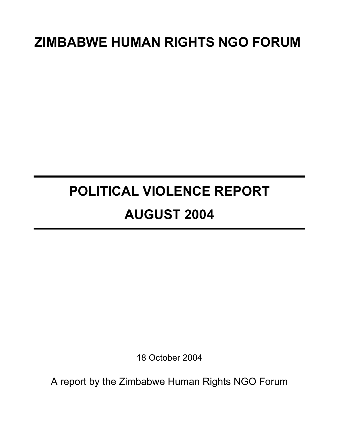# **ZIMBABWE HUMAN RIGHTS NGO FORUM**

# **POLITICAL VIOLENCE REPORT AUGUST 2004**

18 October 2004

A report by the Zimbabwe Human Rights NGO Forum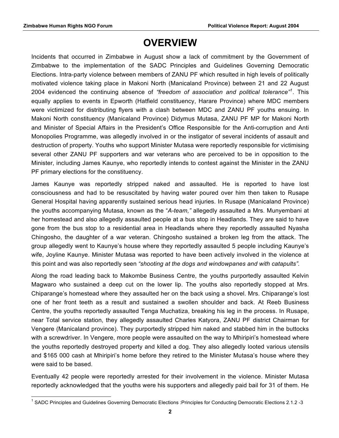# **OVERVIEW**

Incidents that occurred in Zimbabwe in August show a lack of commitment by the Government of Zimbabwe to the implementation of the SADC Principles and Guidelines Governing Democratic Elections. Intra-party violence between members of ZANU PF which resulted in high levels of politically motivated violence taking place in Makoni North (Manicaland Province) between 21 and 22 August 2004 evidenced the continuing absence of *"freedom of association and political tolerance"<sup>1</sup>* . This equally applies to events in Epworth (Hatfield constituency, Harare Province) where MDC members were victimized for distributing flyers with a clash between MDC and ZANU PF youths ensuing. In Makoni North constituency (Manicaland Province) Didymus Mutasa, ZANU PF MP for Makoni North and Minister of Special Affairs in the President's Office Responsible for the Anti-corruption and Anti Monopolies Programme, was allegedly involved in or the instigator of several incidents of assault and destruction of property. Youths who support Minister Mutasa were reportedly responsible for victimising several other ZANU PF supporters and war veterans who are perceived to be in opposition to the Minister, including James Kaunye, who reportedly intends to contest against the Minister in the ZANU PF primary elections for the constituency.

James Kaunye was reportedly stripped naked and assaulted. He is reported to have lost consciousness and had to be resuscitated by having water poured over him then taken to Rusape General Hospital having apparently sustained serious head injuries. In Rusape (Manicaland Province) the youths accompanying Mutasa, known as the "*A-team,"* allegedly assaulted a Mrs. Munyembani at her homestead and also allegedly assaulted people at a bus stop in Headlands. They are said to have gone from the bus stop to a residential area in Headlands where they reportedly assaulted Nyasha Chingosho, the daughter of a war veteran. Chingosho sustained a broken leg from the attack. The group allegedly went to Kaunye's house where they reportedly assaulted 5 people including Kaunye's wife, Joyline Kaunye. Minister Mutasa was reported to have been actively involved in the violence at this point and was also reportedly seen *"shooting at the dogs and windowpanes and with catapults".*

Along the road leading back to Makombe Business Centre, the youths purportedly assaulted Kelvin Magwaro who sustained a deep cut on the lower lip. The youths also reportedly stopped at Mrs. Chiparange's homestead where they assaulted her on the back using a shovel. Mrs. Chiparange's lost one of her front teeth as a result and sustained a swollen shoulder and back. At Reeb Business Centre, the youths reportedly assaulted Tenga Muchatiza, breaking his leg in the process. In Rusape, near Total service station, they allegedly assaulted Charles Katyora, ZANU PF district Chairman for Vengere (Manicaland province). They purportedly stripped him naked and stabbed him in the buttocks with a screwdriver. In Vengere, more people were assaulted on the way to Mhiripiri's homestead where the youths reportedly destroyed property and killed a dog. They also allegedly looted various utensils and \$165 000 cash at Mhiripiri's home before they retired to the Minister Mutasa's house where they were said to be based.

Eventually 42 people were reportedly arrested for their involvement in the violence. Minister Mutasa reportedly acknowledged that the youths were his supporters and allegedly paid bail for 31 of them. He

 $1$  SADC Principles and Guidelines Governing Democratic Elections :Principles for Conducting Democratic Elections 2.1.2 -3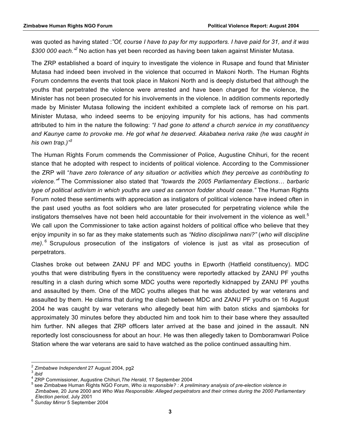was quoted as having stated :*"Of, course I have to pay for my supporters. I have paid for 31, and it was \$300 000 each."<sup>2</sup>* No action has yet been recorded as having been taken against Minister Mutasa.

The ZRP established a board of inquiry to investigate the violence in Rusape and found that Minister Mutasa had indeed been involved in the violence that occurred in Makoni North. The Human Rights Forum condemns the events that took place in Makoni North and is deeply disturbed that although the youths that perpetrated the violence were arrested and have been charged for the violence, the Minister has not been prosecuted for his involvements in the violence. In addition comments reportedly made by Minister Mutasa following the incident exhibited a complete lack of remorse on his part. Minister Mutasa, who indeed seems to be enjoying impunity for his actions, has had comments attributed to him in the nature the following: *"I had gone to attend a church service in my constituency and Kaunye came to provoke me. He got what he deserved. Akabatwa neriva rake (he was caught in his own trap.)"3*

The Human Rights Forum commends the Commissioner of Police, Augustine Chihuri, for the recent stance that he adopted with respect to incidents of political violence. According to the Commissioner the ZRP will "*have zero tolerance of any situation or activities which they perceive as contributing to violence."<sup>4</sup>* The Commissioner also stated that *"towards the 2005 Parliamentary Elections… barbaric type of political activism in which youths are used as cannon fodder should cease."* The Human Rights Forum noted these sentiments with appreciation as instigators of political violence have indeed often in the past used youths as foot soldiers who are later prosecuted for perpetrating violence while the instigators themselves have not been held accountable for their involvement in the violence as well. $<sup>5</sup>$ </sup> We call upon the Commissioner to take action against holders of political office who believe that they enjoy impunity in so far as they make statements such as *"Ndino disciplinwa nani?"* (*who will discipline me)*. 6 Scrupulous prosecution of the instigators of violence is just as vital as prosecution of perpetrators.

Clashes broke out between ZANU PF and MDC youths in Epworth (Hatfield constituency). MDC youths that were distributing flyers in the constituency were reportedly attacked by ZANU PF youths resulting in a clash during which some MDC youths were reportedly kidnapped by ZANU PF youths and assaulted by them. One of the MDC youths alleges that he was abducted by war veterans and assaulted by them. He claims that during the clash between MDC and ZANU PF youths on 16 August 2004 he was caught by war veterans who allegedly beat him with baton sticks and sjamboks for approximately 30 minutes before they abducted him and took him to their base where they assaulted him further. NN alleges that ZRP officers later arrived at the base and joined in the assault. NN reportedly lost consciousness for about an hour. He was then allegedly taken to Domboramwari Police Station where the war veterans are said to have watched as the police continued assaulting him.

<sup>2</sup> *Zimbabwe Independent* 27 August 2004, pg2 <sup>3</sup> *ibid*

<sup>4</sup> ZRP Commissioner, Augustine Chihuri*,The Herald,* 17 September 2004 <sup>5</sup>

see Zimbabwe Human Rights NGO Forum, *Who is responsible? : A preliminary analysis of pre-election violence in Zimbabwe,* 20 June 2000 and *Who Was Responsible: Alleged perpetrators and their crimes during the 2000 Parliamentary* 

*Election period*, July 2001 <sup>6</sup> *Sunday Mirror* 5 September 2004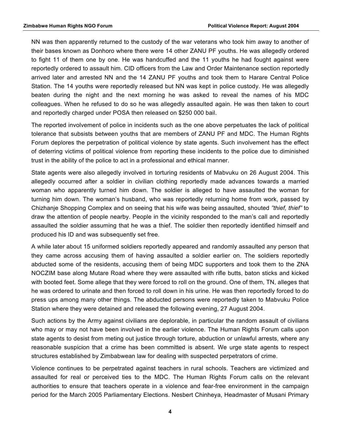NN was then apparently returned to the custody of the war veterans who took him away to another of their bases known as Donhoro where there were 14 other ZANU PF youths. He was allegedly ordered to fight 11 of them one by one. He was handcuffed and the 11 youths he had fought against were reportedly ordered to assault him. CID officers from the Law and Order Maintenance section reportedly arrived later and arrested NN and the 14 ZANU PF youths and took them to Harare Central Police Station. The 14 youths were reportedly released but NN was kept in police custody. He was allegedly beaten during the night and the next morning he was asked to reveal the names of his MDC colleagues. When he refused to do so he was allegedly assaulted again. He was then taken to court and reportedly charged under POSA then released on \$250 000 bail.

The reported involvement of police in incidents such as the one above perpetuates the lack of political tolerance that subsists between youths that are members of ZANU PF and MDC. The Human Rights Forum deplores the perpetration of political violence by state agents. Such involvement has the effect of deterring victims of political violence from reporting these incidents to the police due to diminished trust in the ability of the police to act in a professional and ethical manner.

State agents were also allegedly involved in torturing residents of Mabvuku on 26 August 2004. This allegedly occurred after a soldier in civilian clothing reportedly made advances towards a married woman who apparently turned him down. The soldier is alleged to have assaulted the woman for turning him down. The woman's husband, who was reportedly returning home from work, passed by Chizhanje Shopping Complex and on seeing that his wife was being assaulted, shouted *"thief, thief"* to draw the attention of people nearby. People in the vicinity responded to the man's call and reportedly assaulted the soldier assuming that he was a thief. The soldier then reportedly identified himself and produced his ID and was subsequently set free.

A while later about 15 uniformed soldiers reportedly appeared and randomly assaulted any person that they came across accusing them of having assaulted a soldier earlier on. The soldiers reportedly abducted some of the residents, accusing them of being MDC supporters and took them to the ZNA NOCZIM base along Mutare Road where they were assaulted with rifle butts, baton sticks and kicked with booted feet. Some allege that they were forced to roll on the ground. One of them, TN, alleges that he was ordered to urinate and then forced to roll down in his urine. He was then reportedly forced to do press ups among many other things. The abducted persons were reportedly taken to Mabvuku Police Station where they were detained and released the following evening, 27 August 2004.

Such actions by the Army against civilians are deplorable, in particular the random assault of civilians who may or may not have been involved in the earlier violence. The Human Rights Forum calls upon state agents to desist from meting out justice through torture, abduction or unlawful arrests, where any reasonable suspicion that a crime has been committed is absent. We urge state agents to respect structures established by Zimbabwean law for dealing with suspected perpetrators of crime.

Violence continues to be perpetrated against teachers in rural schools. Teachers are victimized and assaulted for real or perceived ties to the MDC. The Human Rights Forum calls on the relevant authorities to ensure that teachers operate in a violence and fear-free environment in the campaign period for the March 2005 Parliamentary Elections. Nesbert Chinheya, Headmaster of Musani Primary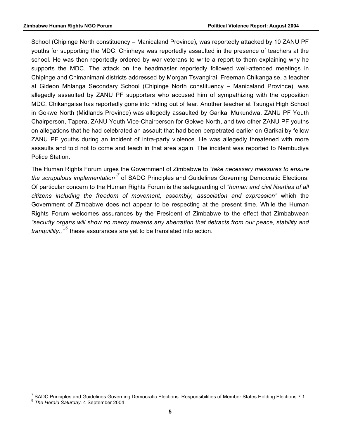School (Chipinge North constituency – Manicaland Province), was reportedly attacked by 10 ZANU PF youths for supporting the MDC. Chinheya was reportedly assaulted in the presence of teachers at the school. He was then reportedly ordered by war veterans to write a report to them explaining why he supports the MDC. The attack on the headmaster reportedly followed well-attended meetings in Chipinge and Chimanimani districts addressed by Morgan Tsvangirai. Freeman Chikangaise, a teacher at Gideon Mhlanga Secondary School (Chipinge North constituency – Manicaland Province), was allegedly assaulted by ZANU PF supporters who accused him of sympathizing with the opposition MDC. Chikangaise has reportedly gone into hiding out of fear. Another teacher at Tsungai High School in Gokwe North (Midlands Province) was allegedly assaulted by Garikai Mukundwa, ZANU PF Youth Chairperson, Tapera, ZANU Youth Vice-Chairperson for Gokwe North, and two other ZANU PF youths on allegations that he had celebrated an assault that had been perpetrated earlier on Garikai by fellow ZANU PF youths during an incident of intra-party violence. He was allegedly threatened with more assaults and told not to come and teach in that area again. The incident was reported to Nembudiya Police Station.

The Human Rights Forum urges the Government of Zimbabwe to *"take necessary measures to ensure the scrupulous implementation"<sup>7</sup>* of SADC Principles and Guidelines Governing Democratic Elections. Of particular concern to the Human Rights Forum is the safeguarding of *"human and civil liberties of all citizens including the freedom of movement, assembly, association and expression"* which the Government of Zimbabwe does not appear to be respecting at the present time. While the Human Rights Forum welcomes assurances by the President of Zimbabwe to the effect that Zimbabwean *"security organs will show no mercy towards any aberration that detracts from our peace, stability and tranquillity.,*"<sup>8</sup> these assurances are yet to be translated into action.

<sup>&</sup>lt;sup>7</sup> SADC Principles and Guidelines Governing Democratic Elections: Responsibilities of Member States Holding Elections 7.1 <sup>8</sup> The Herald Saturday, 4 September 2004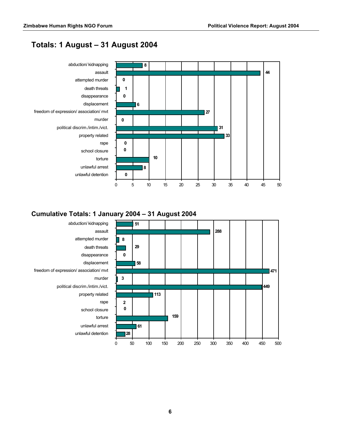# **Totals: 1 August – 31 August 2004**



#### **Cumulative Totals: 1 January 2004 – 31 August 2004**

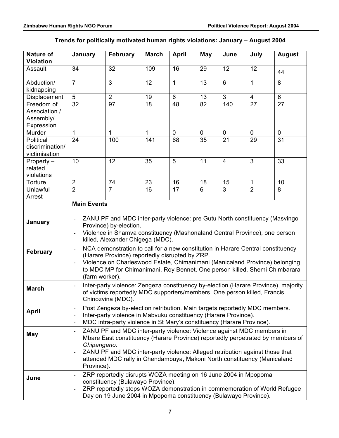|  |  |  | Trends for politically motivated human rights violations: January - August 2004 |
|--|--|--|---------------------------------------------------------------------------------|
|--|--|--|---------------------------------------------------------------------------------|

| <b>Nature of</b><br><b>Violation</b> | January                                                                                                                                                   | <b>February</b>                                                             | <b>March</b>          | <b>April</b> | May                  | June                 | July                | <b>August</b>   |
|--------------------------------------|-----------------------------------------------------------------------------------------------------------------------------------------------------------|-----------------------------------------------------------------------------|-----------------------|--------------|----------------------|----------------------|---------------------|-----------------|
| Assault                              | 34                                                                                                                                                        | 32                                                                          | 109                   | 16           | 29                   | 12                   | 12                  | 44              |
| Abduction/<br>kidnapping             | $\overline{7}$                                                                                                                                            | $\overline{3}$                                                              | 12                    | $\mathbf{1}$ | 13                   | 6                    | $\mathbf{1}$        | 8               |
| Displacement                         | 5                                                                                                                                                         | $\overline{2}$                                                              | 19                    | 6            | 13                   | $\overline{3}$       | $\overline{4}$      | 6               |
| Freedom of                           | 32                                                                                                                                                        | 97                                                                          | 18                    | 48           | 82                   | 140                  | 27                  | 27              |
| Association /                        |                                                                                                                                                           |                                                                             |                       |              |                      |                      |                     |                 |
| Assembly/                            |                                                                                                                                                           |                                                                             |                       |              |                      |                      |                     |                 |
| Expression<br>Murder                 | $\mathbf{1}$                                                                                                                                              | 1                                                                           | $\mathbf{1}$          | $\mathbf 0$  | $\mathbf 0$          | $\mathbf 0$          | $\mathbf 0$         | $\mathbf 0$     |
| Political                            | 24                                                                                                                                                        | 100                                                                         | 141                   | 68           | 35                   | $\overline{21}$      | 29                  | $\overline{31}$ |
| discrimination/                      |                                                                                                                                                           |                                                                             |                       |              |                      |                      |                     |                 |
| victimisation                        |                                                                                                                                                           |                                                                             |                       |              |                      |                      |                     |                 |
| Property -                           | 10                                                                                                                                                        | 12                                                                          | 35                    | 5            | 11                   | $\overline{4}$       | 3                   | 33              |
| related                              |                                                                                                                                                           |                                                                             |                       |              |                      |                      |                     |                 |
| violations                           |                                                                                                                                                           |                                                                             |                       |              |                      |                      |                     |                 |
| Torture<br>Unlawful                  | $\overline{2}$<br>$\overline{2}$                                                                                                                          | 74<br>$\overline{7}$                                                        | 23<br>$\overline{16}$ | 16<br>17     | 18<br>$6\phantom{1}$ | 15<br>$\overline{3}$ | 1<br>$\overline{2}$ | 10<br>8         |
| Arrest                               |                                                                                                                                                           |                                                                             |                       |              |                      |                      |                     |                 |
|                                      | <b>Main Events</b>                                                                                                                                        |                                                                             |                       |              |                      |                      |                     |                 |
|                                      |                                                                                                                                                           |                                                                             |                       |              |                      |                      |                     |                 |
| January                              |                                                                                                                                                           | ZANU PF and MDC inter-party violence: pre Gutu North constituency (Masvingo |                       |              |                      |                      |                     |                 |
|                                      |                                                                                                                                                           | Province) by-election.                                                      |                       |              |                      |                      |                     |                 |
|                                      | Violence in Shamva constituency (Mashonaland Central Province), one person                                                                                |                                                                             |                       |              |                      |                      |                     |                 |
|                                      | killed, Alexander Chigega (MDC).<br>NCA demonstration to call for a new constitution in Harare Central constituency                                       |                                                                             |                       |              |                      |                      |                     |                 |
| <b>February</b>                      | $\overline{\phantom{a}}$                                                                                                                                  |                                                                             |                       |              |                      |                      |                     |                 |
|                                      | (Harare Province) reportedly disrupted by ZRP.<br>Violence on Charleswood Estate, Chimanimani (Manicaland Province) belonging<br>$\overline{\phantom{a}}$ |                                                                             |                       |              |                      |                      |                     |                 |
|                                      | to MDC MP for Chimanimani, Roy Bennet. One person killed, Shemi Chimbarara                                                                                |                                                                             |                       |              |                      |                      |                     |                 |
|                                      | (farm worker).                                                                                                                                            |                                                                             |                       |              |                      |                      |                     |                 |
| <b>March</b>                         | Inter-party violence: Zengeza constituency by-election (Harare Province), majority                                                                        |                                                                             |                       |              |                      |                      |                     |                 |
|                                      | of victims reportedly MDC supporters/members. One person killed, Francis                                                                                  |                                                                             |                       |              |                      |                      |                     |                 |
|                                      | Chinozvina (MDC).                                                                                                                                         |                                                                             |                       |              |                      |                      |                     |                 |
| <b>April</b>                         | Post Zengeza by-election retribution. Main targets reportedly MDC members.                                                                                |                                                                             |                       |              |                      |                      |                     |                 |
|                                      | Inter-party violence in Mabvuku constituency (Harare Province).                                                                                           |                                                                             |                       |              |                      |                      |                     |                 |
|                                      | MDC intra-party violence in St Mary's constituency (Harare Province).<br>۰                                                                                |                                                                             |                       |              |                      |                      |                     |                 |
| May                                  | ZANU PF and MDC inter-party violence: Violence against MDC members in<br>$\overline{\phantom{0}}$                                                         |                                                                             |                       |              |                      |                      |                     |                 |
|                                      | Mbare East constituency (Harare Province) reportedly perpetrated by members of                                                                            |                                                                             |                       |              |                      |                      |                     |                 |
|                                      | Chipangano.<br>ZANU PF and MDC inter-party violence: Alleged retribution against those that                                                               |                                                                             |                       |              |                      |                      |                     |                 |
|                                      | ٠<br>attended MDC rally in Chendambuya, Makoni North constituency (Manicaland                                                                             |                                                                             |                       |              |                      |                      |                     |                 |
|                                      | Province).                                                                                                                                                |                                                                             |                       |              |                      |                      |                     |                 |
|                                      |                                                                                                                                                           | ZRP reportedly disrupts WOZA meeting on 16 June 2004 in Mpopoma             |                       |              |                      |                      |                     |                 |
| June                                 |                                                                                                                                                           | constituency (Bulawayo Province).                                           |                       |              |                      |                      |                     |                 |
|                                      | ZRP reportedly stops WOZA demonstration in commemoration of World Refugee                                                                                 |                                                                             |                       |              |                      |                      |                     |                 |
|                                      |                                                                                                                                                           | Day on 19 June 2004 in Mpopoma constituency (Bulawayo Province).            |                       |              |                      |                      |                     |                 |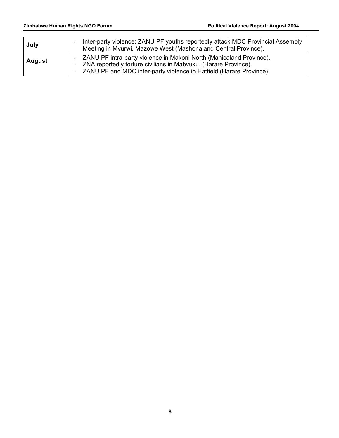| July          | Inter-party violence: ZANU PF youths reportedly attack MDC Provincial Assembly<br>-<br>Meeting in Mvurwi, Mazowe West (Mashonaland Central Province).                                                                                     |
|---------------|-------------------------------------------------------------------------------------------------------------------------------------------------------------------------------------------------------------------------------------------|
| <b>August</b> | ZANU PF intra-party violence in Makoni North (Manicaland Province).<br>ZNA reportedly torture civilians in Mabvuku, (Harare Province).<br>$\overline{\phantom{0}}$<br>ZANU PF and MDC inter-party violence in Hatfield (Harare Province). |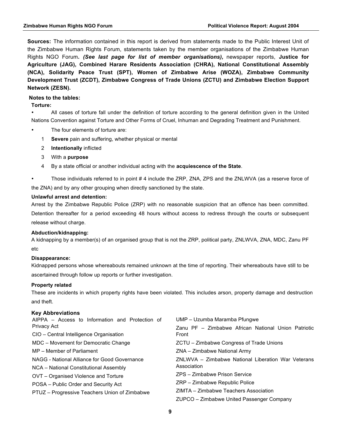**Sources:** The information contained in this report is derived from statements made to the Public Interest Unit of the Zimbabwe Human Rights Forum, statements taken by the member organisations of the Zimbabwe Human Rights NGO Forum*. (See last page for list of member organisations),* newspaper reports, **Justice for Agriculture (JAG), Combined Harare Residents Association (CHRA), National Constitutional Assembly (NCA), Solidarity Peace Trust (SPT), Women of Zimbabwe Arise (WOZA), Zimbabwe Community Development Trust (ZCDT), Zimbabwe Congress of Trade Unions (ZCTU) and Zimbabwe Election Support Network (ZESN).**

#### **Notes to the tables:**

#### **Torture:**

• All cases of torture fall under the definition of torture according to the general definition given in the United Nations Convention against Torture and Other Forms of Cruel, Inhuman and Degrading Treatment and Punishment.

- The four elements of torture are:
	- 1 **Severe** pain and suffering, whether physical or mental
	- 2 **Intentionally** inflicted
	- 3 With a **purpose**
	- 4 By a state official or another individual acting with the **acquiescence of the State**.
- Those individuals referred to in point # 4 include the ZRP, ZNA, ZPS and the ZNLWVA (as a reserve force of the ZNA) and by any other grouping when directly sanctioned by the state.

#### **Unlawful arrest and detention:**

Arrest by the Zimbabwe Republic Police (ZRP) with no reasonable suspicion that an offence has been committed. Detention thereafter for a period exceeding 48 hours without access to redress through the courts or subsequent release without charge.

#### **Abduction/kidnapping:**

A kidnapping by a member(s) of an organised group that is not the ZRP, political party, ZNLWVA, ZNA, MDC, Zanu PF etc

#### **Disappearance:**

Kidnapped persons whose whereabouts remained unknown at the time of reporting. Their whereabouts have still to be ascertained through follow up reports or further investigation.

#### **Property related**

These are incidents in which property rights have been violated. This includes arson, property damage and destruction and theft.

#### **Key Abbreviations**

| AIPPA – Access to Information and Protection of | UMP - Uzumba Maramba Pfungwe                        |  |  |  |
|-------------------------------------------------|-----------------------------------------------------|--|--|--|
| Privacy Act                                     | Zanu PF - Zimbabwe African National Union Patriotic |  |  |  |
| CIO - Central Intelligence Organisation         | Front                                               |  |  |  |
| MDC – Movement for Democratic Change            | ZCTU – Zimbabwe Congress of Trade Unions            |  |  |  |
| MP – Member of Parliament                       | ZNA - Zimbabwe National Army                        |  |  |  |
| NAGG - National Alliance for Good Governance    | ZNLWVA – Zimbabwe National Liberation War Veterans  |  |  |  |
| NCA - National Constitutional Assembly          | Association                                         |  |  |  |
| OVT – Organised Violence and Torture            | ZPS - Zimbabwe Prison Service                       |  |  |  |
| POSA - Public Order and Security Act            | ZRP - Zimbabwe Republic Police                      |  |  |  |
| PTUZ - Progressive Teachers Union of Zimbabwe   | ZIMTA – Zimbabwe Teachers Association               |  |  |  |
|                                                 | ZUPCO – Zimbabwe United Passenger Company           |  |  |  |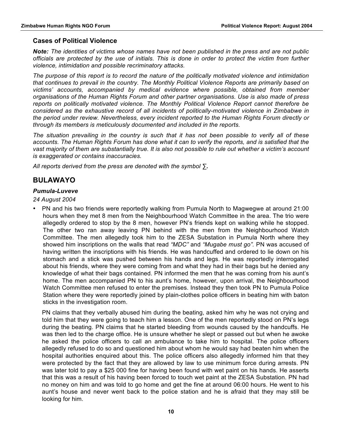#### **Cases of Political Violence**

*Note: The identities of victims whose names have not been published in the press and are not public officials are protected by the use of initials. This is done in order to protect the victim from further violence, intimidation and possible recriminatory attacks.*

*The purpose of this report is to record the nature of the politically motivated violence and intimidation that continues to prevail in the country. The Monthly Political Violence Reports are primarily based on victims' accounts, accompanied by medical evidence where possible, obtained from member organisations of the Human Rights Forum and other partner organisations. Use is also made of press reports on politically motivated violence. The Monthly Political Violence Report cannot therefore be considered as the exhaustive record of all incidents of politically-motivated violence in Zimbabwe in the period under review. Nevertheless, every incident reported to the Human Rights Forum directly or through its members is meticulously documented and included in the reports.*

*The situation prevailing in the country is such that it has not been possible to verify all of these accounts. The Human Rights Forum has done what it can to verify the reports, and is satisfied that the vast majority of them are substantially true. It is also not possible to rule out whether a victim's account is exaggerated or contains inaccuracies.*

*All reports derived from the press are denoted with the symbol ∑.* 

# **BULAWAYO**

#### *Pumula-Luveve*

*24 August 2004*

• PN and his two friends were reportedly walking from Pumula North to Magwegwe at around 21:00 hours when they met 8 men from the Neighbourhood Watch Committee in the area. The trio were allegedly ordered to stop by the 8 men, however PN's friends kept on walking while he stopped. The other two ran away leaving PN behind with the men from the Neighbourhood Watch Committee. The men allegedly took him to the ZESA Substation in Pumula North where they showed him inscriptions on the walls that read *"MDC"* and *"Mugabe must go".* PN was accused of having written the inscriptions with his friends. He was handcuffed and ordered to lie down on his stomach and a stick was pushed between his hands and legs. He was reportedly interrogated about his friends, where they were coming from and what they had in their bags but he denied any knowledge of what their bags contained. PN informed the men that he was coming from his aunt's home. The men accompanied PN to his aunt's home, however, upon arrival, the Neighbourhood Watch Committee men refused to enter the premises. Instead they then took PN to Pumula Police Station where they were reportedly joined by plain-clothes police officers in beating him with baton sticks in the investigation room.

PN claims that they verbally abused him during the beating, asked him why he was not crying and told him that they were going to teach him a lesson. One of the men reportedly stood on PN's legs during the beating. PN claims that he started bleeding from wounds caused by the handcuffs. He was then led to the charge office. He is unsure whether he slept or passed out but when he awoke he asked the police officers to call an ambulance to take him to hospital. The police officers allegedly refused to do so and questioned him about whom he would say had beaten him when the hospital authorities enquired about this. The police officers also allegedly informed him that they were protected by the fact that they are allowed by law to use minimum force during arrests. PN was later told to pay a \$25 000 fine for having been found with wet paint on his hands. He asserts that this was a result of his having been forced to touch wet paint at the ZESA Substation. PN had no money on him and was told to go home and get the fine at around 06:00 hours. He went to his aunt's house and never went back to the police station and he is afraid that they may still be looking for him.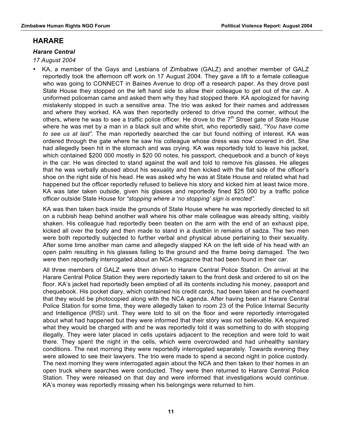## **HARARE**

#### *Harare Central*

#### *17 August 2004*

• KA, a member of the Gays and Lesbians of Zimbabwe (GALZ) and another member of GALZ reportedly took the afternoon off work on 17 August 2004. They gave a lift to a female colleague who was going to CONNECT in Baines Avenue to drop off a research paper. As they drove past State House they stopped on the left hand side to allow their colleague to get out of the car. A uniformed policeman came and asked them why they had stopped there. KA apologized for having mistakenly stopped in such a sensitive area. The trio was asked for their names and addresses and where they worked. KA was then reportedly ordered to drive round the corner, without the others, where he was to see a traffic police officer. He drove to the  $7<sup>th</sup>$  Street gate of State House where he was met by a man in a black suit and white shirt, who reportedly said, *"You have come to see us at last".* The man reportedly searched the car but found nothing of interest. KA was ordered through the gate where he saw his colleague whose dress was now covered in dirt. She had allegedly been hit in the stomach and was crying. KA was reportedly told to leave his jacket, which contained \$200 000 mostly in \$20 00 notes, his passport, chequebook and a bunch of keys in the car. He was directed to stand against the wall and told to remove his glasses. He alleges that he was verbally abused about his sexuality and then kicked with the flat side of the officer's shoe on the right side of his head. He was asked why he was at State House and related what had happened but the officer reportedly refused to believe his story and kicked him at least twice more. KA was later taken outside, given his glasses and reportedly fined \$25 000 by a traffic police officer outside State House for *"stopping where a 'no stopping' sign is erected".*

KA was then taken back inside the grounds of State House where he was reportedly directed to sit on a rubbish heap behind another wall where his other male colleague was already sitting, visibly shaken. His colleague had reportedly been beaten on the arm with the end of an exhaust pipe, kicked all over the body and then made to stand in a dustbin in remains of sadza. The two men were both reportedly subjected to further verbal and physical abuse pertaining to their sexuality. After some time another man came and allegedly slapped KA on the left side of his head with an open palm resulting in his glasses falling to the ground and the frame being damaged. The two were then reportedly interrogated about an NCA magazine that had been found in their car.

All three members of GALZ were then driven to Harare Central Police Station. On arrival at the Harare Central Police Station they were reportedly taken to the front desk and ordered to sit on the floor. KA's jacket had reportedly been emptied of all its contents including his money, passport and chequebook. His pocket diary, which contained his credit cards, had been taken and he overheard that they would be photocopied along with the NCA agenda. After having been at Harare Central Police Station for some time, they were allegedly taken to room 23 of the Police Internal Security and Intelligence (PISI) unit. They were told to sit on the floor and were reportedly interrogated about what had happened but they were informed that their story was not believable. KA enquired what they would be charged with and he was reportedly told it was something to do with stopping illegally. They were later placed in cells upstairs adjacent to the reception and were told to wait there. They spent the night in the cells, which were overcrowded and had unhealthy sanitary conditions. The next morning they were reportedly interrogated separately. Towards evening they were allowed to see their lawyers. The trio were made to spend a second night in police custody. The next morning they were interrogated again about the NCA and then taken to their homes in an open truck where searches were conducted. They were then returned to Harare Central Police Station. They were released on that day and were informed that investigations would continue. KA's money was reportedly missing when his belongings were returned to him.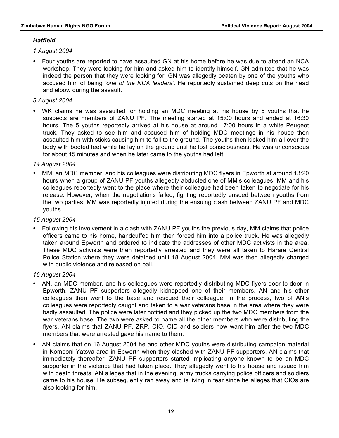#### *Hatfield*

*1 August 2004*

• Four youths are reported to have assaulted GN at his home before he was due to attend an NCA workshop. They were looking for him and asked him to identify himself. GN admitted that he was indeed the person that they were looking for. GN was allegedly beaten by one of the youths who accused him of being *'one of the NCA leaders'.* He reportedly sustained deep cuts on the head and elbow during the assault.

#### *8 August 2004*

• WK claims he was assaulted for holding an MDC meeting at his house by 5 youths that he suspects are members of ZANU PF. The meeting started at 15:00 hours and ended at 16:30 hours. The 5 youths reportedly arrived at his house at around 17:00 hours in a white Peugeot truck. They asked to see him and accused him of holding MDC meetings in his house then assaulted him with sticks causing him to fall to the ground. The youths then kicked him all over the body with booted feet while he lay on the ground until he lost consciousness. He was unconscious for about 15 minutes and when he later came to the youths had left.

#### *14 August 2004*

• MM, an MDC member, and his colleagues were distributing MDC flyers in Epworth at around 13:20 hours when a group of ZANU PF youths allegedly abducted one of MM's colleagues. MM and his colleagues reportedly went to the place where their colleague had been taken to negotiate for his release. However, when the negotiations failed, fighting reportedly ensued between youths from the two parties. MM was reportedly injured during the ensuing clash between ZANU PF and MDC youths.

#### *15 August 2004*

• Following his involvement in a clash with ZANU PF youths the previous day, MM claims that police officers came to his home, handcuffed him then forced him into a police truck. He was allegedly taken around Epworth and ordered to indicate the addresses of other MDC activists in the area. These MDC activists were then reportedly arrested and they were all taken to Harare Central Police Station where they were detained until 18 August 2004. MM was then allegedly charged with public violence and released on bail.

#### *16 August 2004*

- AN, an MDC member, and his colleagues were reportedly distributing MDC flyers door-to-door in Epworth. ZANU PF supporters allegedly kidnapped one of their members. AN and his other colleagues then went to the base and rescued their colleague. In the process, two of AN's colleagues were reportedly caught and taken to a war veterans base in the area where they were badly assaulted. The police were later notified and they picked up the two MDC members from the war veterans base. The two were asked to name all the other members who were distributing the flyers. AN claims that ZANU PF, ZRP, CIO, CID and soldiers now want him after the two MDC members that were arrested gave his name to them.
- AN claims that on 16 August 2004 he and other MDC youths were distributing campaign material in Komboni Yatsva area in Epworth when they clashed with ZANU PF supporters. AN claims that immediately thereafter, ZANU PF supporters started implicating anyone known to be an MDC supporter in the violence that had taken place. They allegedly went to his house and issued him with death threats. AN alleges that in the evening, army trucks carrying police officers and soldiers came to his house. He subsequently ran away and is living in fear since he alleges that CIOs are also looking for him.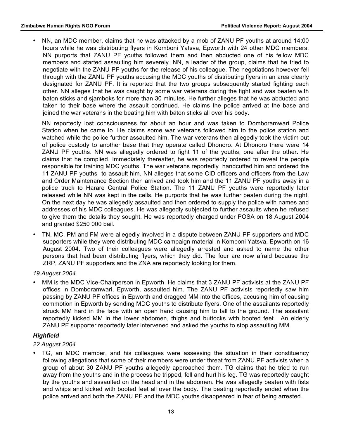• NN, an MDC member, claims that he was attacked by a mob of ZANU PF youths at around 14:00 hours while he was distributing flyers in Komboni Yatsva, Epworth with 24 other MDC members. NN purports that ZANU PF youths followed them and then abducted one of his fellow MDC members and started assaulting him severely. NN, a leader of the group, claims that he tried to negotiate with the ZANU PF youths for the release of his colleague. The negotiations however fell through with the ZANU PF youths accusing the MDC youths of distributing flyers in an area clearly designated for ZANU PF. It is reported that the two groups subsequently started fighting each other. NN alleges that he was caught by some war veterans during the fight and was beaten with baton sticks and sjamboks for more than 30 minutes. He further alleges that he was abducted and taken to their base where the assault continued. He claims the police arrived at the base and joined the war veterans in the beating him with baton sticks all over his body.

NN reportedly lost consciousness for about an hour and was taken to Domboramwari Police Station when he came to. He claims some war veterans followed him to the police station and watched while the police further assaulted him. The war veterans then allegedly took the victim out of police custody to another base that they operate called Dhonoro. At Dhonoro there were 14 ZANU PF youths. NN was allegedly ordered to fight 11 of the youths, one after the other. He claims that he complied. Immediately thereafter, he was reportedly ordered to reveal the people responsible for training MDC youths. The war veterans reportedly handcuffed him and ordered the 11 ZANU PF youths to assault him. NN alleges that some CID officers and officers from the Law and Order Maintenance Section then arrived and took him and the 11 ZANU PF youths away in a police truck to Harare Central Police Station. The 11 ZANU PF youths were reportedly later released while NN was kept in the cells. He purports that he was further beaten during the night. On the next day he was allegedly assaulted and then ordered to supply the police with names and addresses of his MDC colleagues. He was allegedly subjected to further assaults when he refused to give them the details they sought. He was reportedly charged under POSA on 18 August 2004 and granted \$250 000 bail.

• TN, MC, PM and FM were allegedly involved in a dispute between ZANU PF supporters and MDC supporters while they were distributing MDC campaign material in Komboni Yatsva, Epworth on 16 August 2004. Two of their colleagues were allegedly arrested and asked to name the other persons that had been distributing flyers, which they did. The four are now afraid because the ZRP, ZANU PF supporters and the ZNA are reportedly looking for them.

#### *19 August 2004*

• MM is the MDC Vice-Chairperson in Epworth. He claims that 3 ZANU PF activists at the ZANU PF offices in Domboramwari, Epworth, assaulted him. The ZANU PF activists reportedly saw him passing by ZANU PF offices in Epworth and dragged MM into the offices, accusing him of causing commotion in Epworth by sending MDC youths to distribute flyers. One of the assailants reportedly struck MM hard in the face with an open hand causing him to fall to the ground. The assailant reportedly kicked MM in the lower abdomen, thighs and buttocks with booted feet. An elderly ZANU PF supporter reportedly later intervened and asked the youths to stop assaulting MM.

#### *Highfield*

#### *22 August 2004*

• TG, an MDC member, and his colleagues were assessing the situation in their constituency following allegations that some of their members were under threat from ZANU PF activists when a group of about 30 ZANU PF youths allegedly approached them. TG claims that he tried to run away from the youths and in the process he tripped, fell and hurt his leg. TG was reportedly caught by the youths and assaulted on the head and in the abdomen. He was allegedly beaten with fists and whips and kicked with booted feet all over the body. The beating reportedly ended when the police arrived and both the ZANU PF and the MDC youths disappeared in fear of being arrested.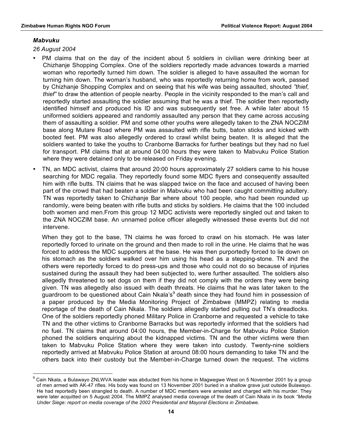#### *Mabvuku*

*26 August 2004*

- PM claims that on the day of the incident about 5 soldiers in civilian were drinking beer at Chizhanje Shopping Complex. One of the soldiers reportedly made advances towards a married woman who reportedly turned him down. The soldier is alleged to have assaulted the woman for turning him down. The woman's husband, who was reportedly returning home from work, passed by Chizhanje Shopping Complex and on seeing that his wife was being assaulted, shouted *"thief, thief"* to draw the attention of people nearby. People in the vicinity responded to the man's call and reportedly started assaulting the soldier assuming that he was a thief. The soldier then reportedly identified himself and produced his ID and was subsequently set free. A while later about 15 uniformed soldiers appeared and randomly assaulted any person that they came across accusing them of assaulting a soldier. PM and some other youths were allegedly taken to the ZNA NOCZIM base along Mutare Road where PM was assaulted with rifle butts, baton sticks and kicked with booted feet. PM was also allegedly ordered to crawl whilst being beaten. It is alleged that the soldiers wanted to take the youths to Cranborne Barracks for further beatings but they had no fuel for transport. PM claims that at around 04:00 hours they were taken to Mabvuku Police Station where they were detained only to be released on Friday evening.
- TN, an MDC activist, claims that around 20:00 hours approximately 27 soldiers came to his house searching for MDC regalia. They reportedly found some MDC flyers and consequently assaulted him with rifle butts. TN claims that he was slapped twice on the face and accused of having been part of the crowd that had beaten a soldier in Mabvuku who had been caught committing adultery. TN was reportedly taken to Chizhanje Bar where about 100 people, who had been rounded up randomly, were being beaten with rifle butts and sticks by soldiers. He claims that the 100 included both women and men.From this group 12 MDC activists were reportedly singled out and taken to the ZNA NOCZIM base. An unnamed police officer allegedly witnessed these events but did not intervene.

When they got to the base, TN claims he was forced to crawl on his stomach. He was later reportedly forced to urinate on the ground and then made to roll in the urine. He claims that he was forced to address the MDC supporters at the base. He was then purportedly forced to lie down on his stomach as the soldiers walked over him using his head as a stepping-stone. TN and the others were reportedly forced to do press-ups and those who could not do so because of injuries sustained during the assault they had been subjected to, were further assaulted. The soldiers also allegedly threatened to set dogs on them if they did not comply with the orders they were being given. TN was allegedly also issued with death threats. He claims that he was later taken to the guardroom to be questioned about Cain Nkala's<sup>9</sup> death since they had found him in possession of a paper produced by the Media Monitoring Project of Zimbabwe (MMPZ) relating to media reportage of the death of Cain Nkala. The soldiers allegedly started pulling out TN's dreadlocks. One of the soldiers reportedly phoned Military Police in Cranborne and requested a vehicle to take TN and the other victims to Cranborne Barracks but was reportedly informed that the soldiers had no fuel. TN claims that around 04:00 hours, the Member-in-Charge for Mabvuku Police Station phoned the soldiers enquiring about the kidnapped victims. TN and the other victims were then taken to Mabvuku Police Station where they were taken into custody. Twenty-nine soldiers reportedly arrived at Mabvuku Police Station at around 08:00 hours demanding to take TN and the others back into their custody but the Member-in-Charge turned down the request. The victims

<sup>-&</sup>lt;br>9 Cain Nkala, a Bulawayo ZNLWVA leader was abducted from his home in Magwegwe West on 5 November 2001 by a group of men armed with AK-47 rifles. His body was found on 13 November 2001 buried in a shallow grave just outside Bulawayo. He had reportedly been strangled to death. A number of MDC members were arrested and charged with his murder. They were later acquitted on 5 August 2004. The MMPZ analysed media coverage of the death of Cain Nkala in its book *"Media Under Siege: report on media coverage of the 2002 Presidential and Mayoral Elections in Zimbabwe.*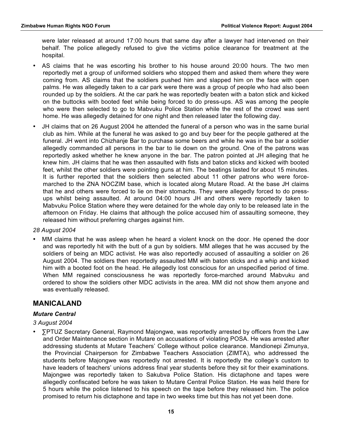were later released at around 17:00 hours that same day after a lawyer had intervened on their behalf. The police allegedly refused to give the victims police clearance for treatment at the hospital.

- AS claims that he was escorting his brother to his house around 20:00 hours. The two men reportedly met a group of uniformed soldiers who stopped them and asked them where they were coming from. AS claims that the soldiers pushed him and slapped him on the face with open palms. He was allegedly taken to a car park were there was a group of people who had also been rounded up by the soldiers. At the car park he was reportedly beaten with a baton stick and kicked on the buttocks with booted feet while being forced to do press-ups. AS was among the people who were then selected to go to Mabvuku Police Station while the rest of the crowd was sent home. He was allegedly detained for one night and then released later the following day.
- JH claims that on 26 August 2004 he attended the funeral of a person who was in the same burial club as him. While at the funeral he was asked to go and buy beer for the people gathered at the funeral. JH went into Chizhanje Bar to purchase some beers and while he was in the bar a soldier allegedly commanded all persons in the bar to lie down on the ground. One of the patrons was reportedly asked whether he knew anyone in the bar. The patron pointed at JH alleging that he knew him. JH claims that he was then assaulted with fists and baton sticks and kicked with booted feet, whilst the other soldiers were pointing guns at him. The beatings lasted for about 15 minutes. It is further reported that the soldiers then selected about 11 other patrons who were forcemarched to the ZNA NOCZIM base, which is located along Mutare Road. At the base JH claims that he and others were forced to lie on their stomachs. They were allegedly forced to do pressups whilst being assaulted. At around 04:00 hours JH and others were reportedly taken to Mabvuku Police Station where they were detained for the whole day only to be released late in the afternoon on Friday. He claims that although the police accused him of assaulting someone, they released him without preferring charges against him.

#### *28 August 2004*

• MM claims that he was asleep when he heard a violent knock on the door. He opened the door and was reportedly hit with the butt of a gun by soldiers. MM alleges that he was accused by the soldiers of being an MDC activist. He was also reportedly accused of assaulting a soldier on 26 August 2004. The soldiers then reportedly assaulted MM with baton sticks and a whip and kicked him with a booted foot on the head. He allegedly lost conscious for an unspecified period of time. When MM regained consciousness he was reportedly force-marched around Mabvuku and ordered to show the soldiers other MDC activists in the area. MM did not show them anyone and was eventually released.

## **MANICALAND**

#### *Mutare Central*

#### *3 August 2004*

• ∑PTUZ Secretary General, Raymond Majongwe, was reportedly arrested by officers from the Law and Order Maintenance section in Mutare on accusations of violating POSA. He was arrested after addressing students at Mutare Teachers' College without police clearance. Mandionepi Zimunya, the Provincial Chairperson for Zimbabwe Teachers Association (ZIMTA), who addressed the students before Majongwe was reportedly not arrested. It is reportedly the college's custom to have leaders of teachers' unions address final year students before they sit for their examinations. Majongwe was reportedly taken to Sakubva Police Station. His dictaphone and tapes were allegedly confiscated before he was taken to Mutare Central Police Station. He was held there for 5 hours while the police listened to his speech on the tape before they released him. The police promised to return his dictaphone and tape in two weeks time but this has not yet been done.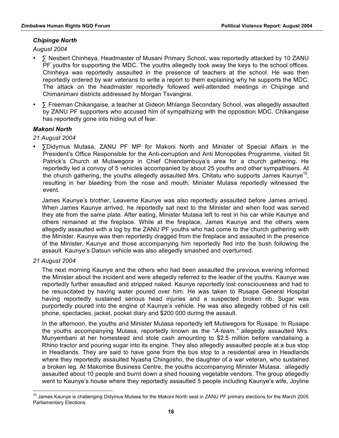#### *Chipinge North*

*August 2004*

- **∑** Nesbert Chinheya, Headmaster of Musani Primary School, was reportedly attacked by 10 ZANU PF youths for supporting the MDC. The youths allegedly took away the keys to the school offices. Chinheya was reportedly assaulted in the presence of teachers at the school. He was then reportedly ordered by war veterans to write a report to them explaining why he supports the MDC. The attack on the headmaster reportedly followed well-attended meetings in Chipinge and Chimanimani districts addressed by Morgan Tsvangirai.
- **∑** Freeman Chikangaise, a teacher at Gideon Mhlanga Secondary School, was allegedly assaulted by ZANU PF supporters who accused him of sympathizing with the opposition MDC. Chikangaise has reportedly gone into hiding out of fear.

#### *Makoni North*

*21 August 2004*

• ∑Didymus Mutasa, ZANU PF MP for Makoni North and Minister of Special Affairs in the President's Office Responsible for the Anti-corruption and Anti Monopolies Programme, visited St Patrick's Church at Mutiwegora in Chief Chiendambuya's area for a church gathering. He reportedly led a convoy of 5 vehicles accompanied by about 25 youths and other sympathisers. At the church gathering, the youths allegedly assaulted Mrs. Chitatu who supports James Kaunye<sup>10</sup>, resulting in her bleeding from the nose and mouth. Minister Mutasa reportedly witnessed the event.

James Kaunye's brother, Leaveme Kaunye was also reportedly assaulted before James arrived. When James Kaunye arrived, he reportedly sat next to the Minister and when food was served they ate from the same plate. After eating, Minister Mutasa left to rest in his car while Kaunye and others remained at the fireplace. While at the fireplace, James Kaunye and the others were allegedly assaulted with a log by the ZANU PF youths who had come to the church gathering with the Minister. Kaunye was then reportedly dragged from the fireplace and assaulted in the presence of the Minister. Kaunye and those accompanying him reportedly fled into the bush following the assault. Kaunye's Datsun vehicle was also allegedly smashed and overturned.

#### *21 August 2004*

The next morning Kaunye and the others who had been assaulted the previous evening informed the Minister about the incident and were allegedly referred to the leader of the youths. Kaunye was reportedly further assaulted and stripped naked. Kaunye reportedly lost consciousness and had to be resuscitated by having water poured over him. He was taken to Rusape General Hospital having reportedly sustained serious head injuries and a suspected broken rib. Sugar was purportedly poured into the engine of Kaunye's vehicle. He was also allegedly robbed of his cell phone, spectacles, jacket, pocket diary and \$200 000 during the assault.

In the afternoon, the youths and Minister Mutasa reportedly left Mutiwegora for Rusape. In Rusape the youths accompanying Mutasa, reportedly known as the "*A-team,"* allegedly assaulted Mrs. Munyembani at her homestead and stole cash amounting to \$2.5 million before vandalising a Rhino tractor and pouring sugar into its engine. They also allegedly assaulted people at a bus stop in Headlands. They are said to have gone from the bus stop to a residential area in Headlands where they reportedly assaulted Nyasha Chingosho, the daughter of a war veteran, who sustained a broken leg. At Makombe Business Centre, the youths accompanying Minister Mutasa, allegedly assaulted about 10 people and burnt down a shed housing vegetable vendors. The group allegedly went to Kaunye's house where they reportedly assaulted 5 people including Kaunye's wife, Joyline

<sup>&</sup>lt;sup>10</sup> James Kaunye is challenging Didymus Mutasa for the Makoni North seat in ZANU PF primary elections for the March 2005 Parliamentary Elections.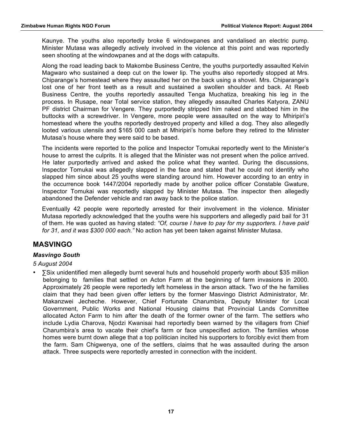Kaunye. The youths also reportedly broke 6 windowpanes and vandalised an electric pump. Minister Mutasa was allegedly actively involved in the violence at this point and was reportedly seen shooting at the windowpanes and at the dogs with catapults.

Along the road leading back to Makombe Business Centre, the youths purportedly assaulted Kelvin Magwaro who sustained a deep cut on the lower lip. The youths also reportedly stopped at Mrs. Chiparange's homestead where they assaulted her on the back using a shovel. Mrs. Chiparange's lost one of her front teeth as a result and sustained a swollen shoulder and back. At Reeb Business Centre, the youths reportedly assaulted Tenga Muchatiza, breaking his leg in the process. In Rusape, near Total service station, they allegedly assaulted Charles Katyora, ZANU PF district Chairman for Vengere. They purportedly stripped him naked and stabbed him in the buttocks with a screwdriver. In Vengere, more people were assaulted on the way to Mhiripiri's homestead where the youths reportedly destroyed property and killed a dog. They also allegedly looted various utensils and \$165 000 cash at Mhiripiri's home before they retired to the Minister Mutasa's house where they were said to be based.

The incidents were reported to the police and Inspector Tomukai reportedly went to the Minister's house to arrest the culprits. It is alleged that the Minister was not present when the police arrived. He later purportedly arrived and asked the police what they wanted. During the discussions, Inspector Tomukai was allegedly slapped in the face and stated that he could not identify who slapped him since about 25 youths were standing around him. However according to an entry in the occurrence book 1447/2004 reportedly made by another police officer Constable Gwature, Inspector Tomukai was reportedly slapped by Minister Mutasa. The inspector then allegedly abandoned the Defender vehicle and ran away back to the police station.

Eventually 42 people were reportedly arrested for their involvement in the violence. Minister Mutasa reportedly acknowledged that the youths were his supporters and allegedly paid bail for 31 of them. He was quoted as having stated: *"Of, course I have to pay for my supporters. I have paid for 31, and it was \$300 000 each."* No action has yet been taken against Minister Mutasa.

# **MASVINGO**

#### *Masvingo South*

#### *5 August 2004*

• ∑Six unidentified men allegedly burnt several huts and household property worth about \$35 million belonging to families that settled on Acton Farm at the beginning of farm invasions in 2000. Approximately 26 people were reportedly left homeless in the arson attack. Two of the he families claim that they had been given offer letters by the former Masvingo District Administrator, Mr. Makanzwei Jecheche. However, Chief Fortunate Charumbira, Deputy Minister for Local Government, Public Works and National Housing claims that Provincial Lands Committee allocated Acton Farm to him after the death of the former owner of the farm. The settlers who include Lydia Charova, Njodzi Kwanisai had reportedly been warned by the villagers from Chief Charumbira's area to vacate their chief's farm or face unspecified action. The families whose homes were burnt down allege that a top politician incited his supporters to forcibly evict them from the farm. Sam Chigwenya, one of the settlers, claims that he was assaulted during the arson attack. Three suspects were reportedly arrested in connection with the incident.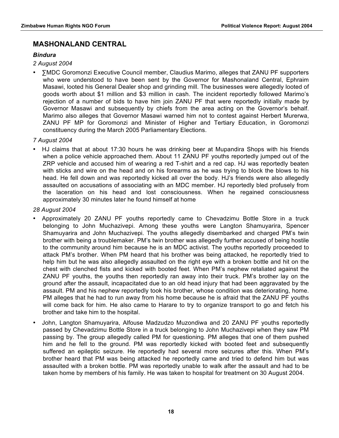# **MASHONALAND CENTRAL**

#### *Bindura*

*2 August 2004*

• ∑MDC Goromonzi Executive Council member, Claudius Marimo, alleges that ZANU PF supporters who were understood to have been sent by the Governor for Mashonaland Central, Ephraim Masawi, looted his General Dealer shop and grinding mill. The businesses were allegedly looted of goods worth about \$1 million and \$3 million in cash. The incident reportedly followed Marimo's rejection of a number of bids to have him join ZANU PF that were reportedly initially made by Governor Masawi and subsequently by chiefs from the area acting on the Governor's behalf. Marimo also alleges that Governor Masawi warned him not to contest against Herbert Murerwa, ZANU PF MP for Goromonzi and Minister of Higher and Tertiary Education, in Goromonzi constituency during the March 2005 Parliamentary Elections.

#### *7 August 2004*

• HJ claims that at about 17:30 hours he was drinking beer at Mupandira Shops with his friends when a police vehicle approached them. About 11 ZANU PF youths reportedly jumped out of the ZRP vehicle and accused him of wearing a red T-shirt and a red cap. HJ was reportedly beaten with sticks and wire on the head and on his forearms as he was trying to block the blows to his head. He fell down and was reportedly kicked all over the body. HJ's friends were also allegedly assaulted on accusations of associating with an MDC member. HJ reportedly bled profusely from the laceration on his head and lost consciousness. When he regained consciousness approximately 30 minutes later he found himself at home

#### *28 August 2004*

- Approximately 20 ZANU PF youths reportedly came to Chevadzimu Bottle Store in a truck belonging to John Muchazivepi. Among these youths were Langton Shamuyarira, Spencer Shamuyarira and John Muchazivepi. The youths allegedly disembarked and charged PM's twin brother with being a troublemaker. PM's twin brother was allegedly further accused of being hostile to the community around him because he is an MDC activist. The youths reportedly proceeded to attack PM's brother. When PM heard that his brother was being attacked, he reportedly tried to help him but he was also allegedly assaulted on the right eye with a broken bottle and hit on the chest with clenched fists and kicked with booted feet. When PM's nephew retaliated against the ZANU PF youths, the youths then reportedly ran away into their truck. PM's brother lay on the ground after the assault, incapacitated due to an old head injury that had been aggravated by the assault. PM and his nephew reportedly took his brother, whose condition was deteriorating, home. PM alleges that he had to run away from his home because he is afraid that the ZANU PF youths will come back for him. He also came to Harare to try to organize transport to go and fetch his brother and take him to the hospital.
- John, Langton Shamuyarira, Alfouse Madzudzo Muzondiwa and 20 ZANU PF youths reportedly passed by Chevadzimu Bottle Store in a truck belonging to John Muchazivepi when they saw PM passing by. The group allegedly called PM for questioning. PM alleges that one of them pushed him and he fell to the ground. PM was reportedly kicked with booted feet and subsequently suffered an epileptic seizure. He reportedly had several more seizures after this. When PM's brother heard that PM was being attacked he reportedly came and tried to defend him but was assaulted with a broken bottle. PM was reportedly unable to walk after the assault and had to be taken home by members of his family. He was taken to hospital for treatment on 30 August 2004.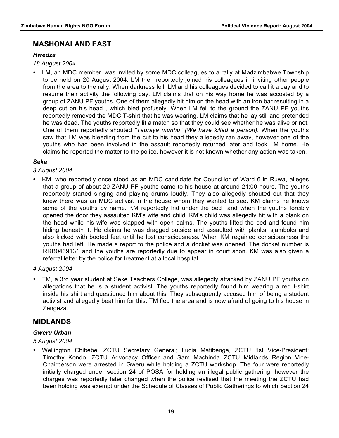# **MASHONALAND EAST**

#### *Hwedza*

*18 August 2004*

• LM, an MDC member, was invited by some MDC colleagues to a rally at Madzimbabwe Township to be held on 20 August 2004. LM then reportedly joined his colleagues in inviting other people from the area to the rally. When darkness fell, LM and his colleagues decided to call it a day and to resume their activity the following day. LM claims that on his way home he was accosted by a group of ZANU PF youths. One of them allegedly hit him on the head with an iron bar resulting in a deep cut on his head , which bled profusely. When LM fell to the ground the ZANU PF youths reportedly removed the MDC T-shirt that he was wearing. LM claims that he lay still and pretended he was dead. The youths reportedly lit a match so that they could see whether he was alive or not. One of them reportedly shouted *"Tauraya munhu" (We have killed a person).* When the youths saw that LM was bleeding from the cut to his head they allegedly ran away, however one of the youths who had been involved in the assault reportedly returned later and took LM home. He claims he reported the matter to the police, however it is not known whether any action was taken.

#### *Seke*

#### *3 August 2004*

• KM, who reportedly once stood as an MDC candidate for Councillor of Ward 6 in Ruwa, alleges that a group of about 20 ZANU PF youths came to his house at around 21:00 hours. The youths reportedly started singing and playing drums loudly. They also allegedly shouted out that they knew there was an MDC activist in the house whom they wanted to see. KM claims he knows some of the youths by name. KM reportedly hid under the bed and when the youths forcibly opened the door they assaulted KM's wife and child. KM's child was allegedly hit with a plank on the head while his wife was slapped with open palms. The youths lifted the bed and found him hiding beneath it. He claims he was dragged outside and assaulted with planks, sjamboks and also kicked with booted feet until he lost consciousness. When KM regained consciousness the youths had left. He made a report to the police and a docket was opened. The docket number is RRB0439131 and the youths are reportedly due to appear in court soon. KM was also given a referral letter by the police for treatment at a local hospital.

#### *4 August 2004*

• TM, a 3rd year student at Seke Teachers College, was allegedly attacked by ZANU PF youths on allegations that he is a student activist. The youths reportedly found him wearing a red t-shirt inside his shirt and questioned him about this. They subsequently accused him of being a student activist and allegedly beat him for this. TM fled the area and is now afraid of going to his house in Zengeza.

## **MIDLANDS**

#### *Gweru Urban*

#### *5 August 2004*

• Wellington Chibebe, ZCTU Secretary General; Lucia Matibenga, ZCTU 1st Vice-President; Timothy Kondo, ZCTU Advocacy Officer and Sam Machinda ZCTU Midlands Region Vice-Chairperson were arrested in Gweru while holding a ZCTU workshop. The four were reportedly initially charged under section 24 of POSA for holding an illegal public gathering, however the charges was reportedly later changed when the police realised that the meeting the ZCTU had been holding was exempt under the Schedule of Classes of Public Gatherings to which Section 24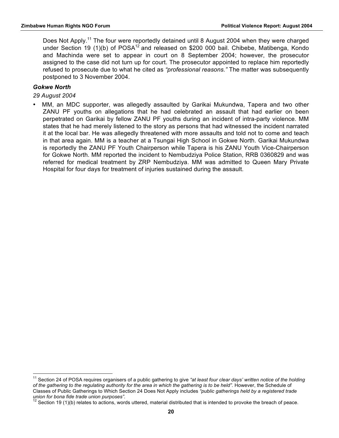Does Not Apply.<sup>11</sup> The four were reportedly detained until 8 August 2004 when they were charged under Section 19 (1)(b) of  $POSA^{12}$  and released on \$200 000 bail. Chibebe, Matibenga, Kondo and Machinda were set to appear in court on 8 September 2004; however, the prosecutor assigned to the case did not turn up for court. The prosecutor appointed to replace him reportedly refused to prosecute due to what he cited as *"professional reasons."* The matter was subsequently postponed to 3 November 2004.

#### *Gokwe North*

*29 August 2004*

• MM, an MDC supporter, was allegedly assaulted by Garikai Mukundwa, Tapera and two other ZANU PF youths on allegations that he had celebrated an assault that had earlier on been perpetrated on Garikai by fellow ZANU PF youths during an incident of intra-party violence. MM states that he had merely listened to the story as persons that had witnessed the incident narrated it at the local bar. He was allegedly threatened with more assaults and told not to come and teach in that area again. MM is a teacher at a Tsungai High School in Gokwe North. Garikai Mukundwa is reportedly the ZANU PF Youth Chairperson while Tapera is his ZANU Youth Vice-Chairperson for Gokwe North. MM reported the incident to Nembudziya Police Station, RRB 0360829 and was referred for medical treatment by ZRP Nembudziya. MM was admitted to Queen Mary Private Hospital for four days for treatment of injuries sustained during the assault.

<sup>&</sup>lt;sup>11</sup> Section 24 of POSA requires organisers of a public gathering to give "at least four clear days' written notice of the holding *of the gathering to the regulating authority for the area in which the gathering is to be held".* However, the Schedule of Classes of Public Gatherings to Which Section 24 Does Not Apply includes *"public gatherings held by a registered trade union for bona fide trade union purposes".*

 $12$  Section 19 (1)(b) relates to actions, words uttered, material distributed that is intended to provoke the breach of peace.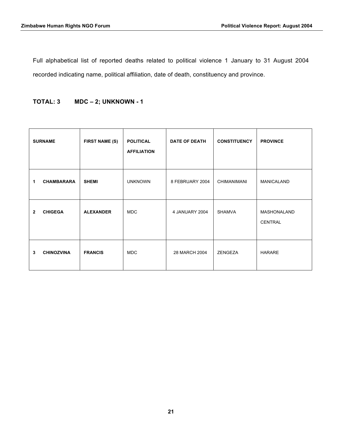Full alphabetical list of reported deaths related to political violence 1 January to 31 August 2004 recorded indicating name, political affiliation, date of death, constituency and province.

#### **TOTAL: 3 MDC – 2; UNKNOWN - 1**

|                | <b>SURNAME</b>    | <b>FIRST NAME (S)</b> | <b>POLITICAL</b><br><b>AFFILIATION</b> | <b>DATE OF DEATH</b> | <b>CONSTITUENCY</b> | <b>PROVINCE</b>        |
|----------------|-------------------|-----------------------|----------------------------------------|----------------------|---------------------|------------------------|
| 1              | <b>CHAMBARARA</b> | <b>SHEMI</b>          | <b>UNKNOWN</b>                         | 8 FEBRUARY 2004      | <b>CHIMANIMANI</b>  | MANICALAND             |
| $\overline{2}$ | <b>CHIGEGA</b>    | <b>ALEXANDER</b>      | <b>MDC</b>                             | 4 JANUARY 2004       | <b>SHAMVA</b>       | MASHONALAND<br>CENTRAL |
| 3              | <b>CHINOZVINA</b> | <b>FRANCIS</b>        | <b>MDC</b>                             | 28 MARCH 2004        | ZENGEZA             | <b>HARARE</b>          |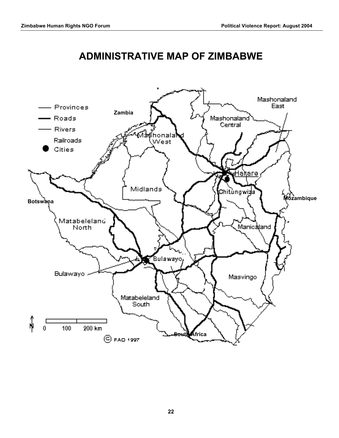

# **ADMINISTRATIVE MAP OF ZIMBABWE**